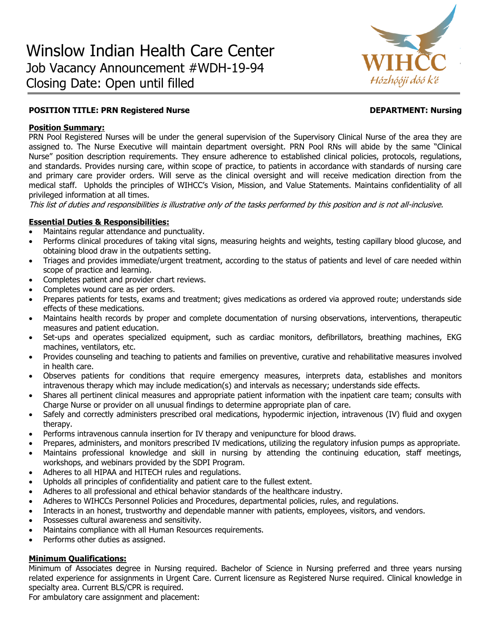

# **POSITION TITLE: PRN Registered Nurse DEPARTMENT: Nursing**

### **Position Summary:**

PRN Pool Registered Nurses will be under the general supervision of the Supervisory Clinical Nurse of the area they are assigned to. The Nurse Executive will maintain department oversight. PRN Pool RNs will abide by the same "Clinical Nurse" position description requirements. They ensure adherence to established clinical policies, protocols, regulations, and standards. Provides nursing care, within scope of practice, to patients in accordance with standards of nursing care and primary care provider orders. Will serve as the clinical oversight and will receive medication direction from the medical staff. Upholds the principles of WIHCC's Vision, Mission, and Value Statements. Maintains confidentiality of all privileged information at all times.

This list of duties and responsibilities is illustrative only of the tasks performed by this position and is not all-inclusive.

### **Essential Duties & Responsibilities:**

- Maintains regular attendance and punctuality.
- Performs clinical procedures of taking vital signs, measuring heights and weights, testing capillary blood glucose, and obtaining blood draw in the outpatients setting.
- Triages and provides immediate/urgent treatment, according to the status of patients and level of care needed within scope of practice and learning.
- Completes patient and provider chart reviews.
- Completes wound care as per orders.
- Prepares patients for tests, exams and treatment; gives medications as ordered via approved route; understands side effects of these medications.
- Maintains health records by proper and complete documentation of nursing observations, interventions, therapeutic measures and patient education.
- Set-ups and operates specialized equipment, such as cardiac monitors, defibrillators, breathing machines, EKG machines, ventilators, etc.
- Provides counseling and teaching to patients and families on preventive, curative and rehabilitative measures involved in health care.
- Observes patients for conditions that require emergency measures, interprets data, establishes and monitors intravenous therapy which may include medication(s) and intervals as necessary; understands side effects.
- Shares all pertinent clinical measures and appropriate patient information with the inpatient care team; consults with Charge Nurse or provider on all unusual findings to determine appropriate plan of care.
- Safely and correctly administers prescribed oral medications, hypodermic injection, intravenous (IV) fluid and oxygen therapy.
- Performs intravenous cannula insertion for IV therapy and venipuncture for blood draws.
- Prepares, administers, and monitors prescribed IV medications, utilizing the regulatory infusion pumps as appropriate.
- Maintains professional knowledge and skill in nursing by attending the continuing education, staff meetings, workshops, and webinars provided by the SDPI Program.
- Adheres to all HIPAA and HITECH rules and regulations.
- Upholds all principles of confidentiality and patient care to the fullest extent.
- Adheres to all professional and ethical behavior standards of the healthcare industry.
- Adheres to WIHCCs Personnel Policies and Procedures, departmental policies, rules, and regulations.
- Interacts in an honest, trustworthy and dependable manner with patients, employees, visitors, and vendors.
- Possesses cultural awareness and sensitivity.
- Maintains compliance with all Human Resources requirements.
- Performs other duties as assigned.

### **Minimum Qualifications:**

Minimum of Associates degree in Nursing required. Bachelor of Science in Nursing preferred and three years nursing related experience for assignments in Urgent Care. Current licensure as Registered Nurse required. Clinical knowledge in specialty area. Current BLS/CPR is required.

For ambulatory care assignment and placement: